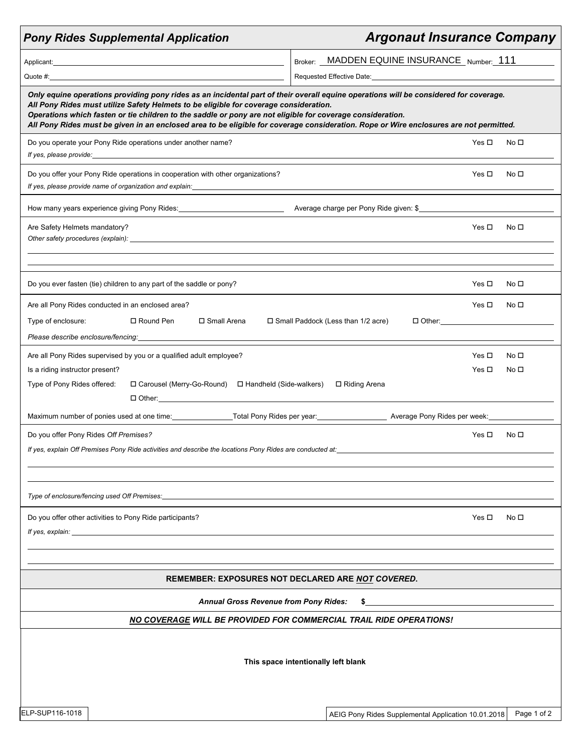| <b>Pony Rides Supplemental Application</b>                                                                                                                                                                                                                                                                                                                                                                                                                                             |                                                                                                                                                                                                                                                                                         | <b>Argonaut Insurance Company</b>                                                                             |                                                     |                 |  |
|----------------------------------------------------------------------------------------------------------------------------------------------------------------------------------------------------------------------------------------------------------------------------------------------------------------------------------------------------------------------------------------------------------------------------------------------------------------------------------------|-----------------------------------------------------------------------------------------------------------------------------------------------------------------------------------------------------------------------------------------------------------------------------------------|---------------------------------------------------------------------------------------------------------------|-----------------------------------------------------|-----------------|--|
| Applicant: <u>Applicant</u> Contract Contract Contract Contract Contract Contract Contract Contract Contract Contract Contract Contract Contract Contract Contract Contract Contract Contract Contract Contract Contract Contract C                                                                                                                                                                                                                                                    |                                                                                                                                                                                                                                                                                         | Broker: MADDEN EQUINE INSURANCE Number: 111                                                                   |                                                     |                 |  |
|                                                                                                                                                                                                                                                                                                                                                                                                                                                                                        |                                                                                                                                                                                                                                                                                         | Requested Effective Date: Manual According to the Contract of the Contract of the Contract of the Contract of |                                                     |                 |  |
| Only equine operations providing pony rides as an incidental part of their overall equine operations will be considered for coverage.<br>All Pony Rides must utilize Safety Helmets to be eligible for coverage consideration.<br>Operations which fasten or tie children to the saddle or pony are not eligible for coverage consideration.<br>All Pony Rides must be given in an enclosed area to be eligible for coverage consideration. Rope or Wire enclosures are not permitted. |                                                                                                                                                                                                                                                                                         |                                                                                                               |                                                     |                 |  |
| Do you operate your Pony Ride operations under another name?<br>If yes, please provide:<br><u>Figures</u>                                                                                                                                                                                                                                                                                                                                                                              |                                                                                                                                                                                                                                                                                         |                                                                                                               | Yes $\Box$                                          | No <sub>D</sub> |  |
| Do you offer your Pony Ride operations in cooperation with other organizations?<br>If yes, please provide name of organization and explain: _______________________                                                                                                                                                                                                                                                                                                                    |                                                                                                                                                                                                                                                                                         |                                                                                                               | Yes $\Box$                                          | No <sub>D</sub> |  |
| How many years experience giving Pony Rides: ___________________________________                                                                                                                                                                                                                                                                                                                                                                                                       |                                                                                                                                                                                                                                                                                         | Average charge per Pony Ride given: \$                                                                        |                                                     |                 |  |
| Are Safety Helmets mandatory?                                                                                                                                                                                                                                                                                                                                                                                                                                                          |                                                                                                                                                                                                                                                                                         |                                                                                                               | Yes $\Box$                                          | No $\square$    |  |
| Do you ever fasten (tie) children to any part of the saddle or pony?                                                                                                                                                                                                                                                                                                                                                                                                                   |                                                                                                                                                                                                                                                                                         |                                                                                                               | Yes $\Box$                                          | No $\square$    |  |
| Are all Pony Rides conducted in an enclosed area?<br>Type of enclosure:<br>□ Round Pen<br>Please describe enclosure/fencing:                                                                                                                                                                                                                                                                                                                                                           | □ Small Arena                                                                                                                                                                                                                                                                           | $\Box$ Small Paddock (Less than 1/2 acre)                                                                     | Yes $\Box$                                          | No <sub>1</sub> |  |
| Are all Pony Rides supervised by you or a qualified adult employee?                                                                                                                                                                                                                                                                                                                                                                                                                    |                                                                                                                                                                                                                                                                                         |                                                                                                               | Yes $\Box$                                          | No <sub>D</sub> |  |
| Is a riding instructor present?                                                                                                                                                                                                                                                                                                                                                                                                                                                        |                                                                                                                                                                                                                                                                                         |                                                                                                               | Yes $\Box$                                          | No <sub>D</sub> |  |
| Type of Pony Rides offered:                                                                                                                                                                                                                                                                                                                                                                                                                                                            | □ Carousel (Merry-Go-Round) □ Handheld (Side-walkers)<br>0 Other: 0 Other: 0 Other: 0 Other: 0 Other: 0 Other: 0 Other: 0 Other: 0 Other: 0 Other: 0 Other: 0 Other: 0 Other: 0 Other: 0 Other: 0 Other: 0 Other: 0 Other: 0 Other: 0 Other: 0 Other: 0 Other: 0 Other: 0 Other: 0 Othe | □ Riding Arena                                                                                                |                                                     |                 |  |
| Maximum number of ponies used at one time: ________________Total Pony Rides per year: ________________________ Average Pony Rides per week: ____________________                                                                                                                                                                                                                                                                                                                       |                                                                                                                                                                                                                                                                                         |                                                                                                               |                                                     |                 |  |
| Do you offer Pony Rides Off Premises?<br>If yes, explain Off Premises Pony Ride activities and describe the locations Pony Rides are conducted at:                                                                                                                                                                                                                                                                                                                                     |                                                                                                                                                                                                                                                                                         |                                                                                                               | Yes □                                               | No $\square$    |  |
|                                                                                                                                                                                                                                                                                                                                                                                                                                                                                        |                                                                                                                                                                                                                                                                                         |                                                                                                               |                                                     |                 |  |
| Type of enclosure/fencing used Off Premises:                                                                                                                                                                                                                                                                                                                                                                                                                                           |                                                                                                                                                                                                                                                                                         |                                                                                                               |                                                     |                 |  |
| Do you offer other activities to Pony Ride participants?                                                                                                                                                                                                                                                                                                                                                                                                                               |                                                                                                                                                                                                                                                                                         |                                                                                                               | Yes $\Box$                                          | No □            |  |
|                                                                                                                                                                                                                                                                                                                                                                                                                                                                                        |                                                                                                                                                                                                                                                                                         |                                                                                                               |                                                     |                 |  |
|                                                                                                                                                                                                                                                                                                                                                                                                                                                                                        | <b>REMEMBER: EXPOSURES NOT DECLARED ARE NOT COVERED.</b>                                                                                                                                                                                                                                |                                                                                                               |                                                     |                 |  |
| <b>Annual Gross Revenue from Pony Rides:</b>                                                                                                                                                                                                                                                                                                                                                                                                                                           |                                                                                                                                                                                                                                                                                         |                                                                                                               |                                                     |                 |  |
|                                                                                                                                                                                                                                                                                                                                                                                                                                                                                        | NO COVERAGE WILL BE PROVIDED FOR COMMERCIAL TRAIL RIDE OPERATIONS!                                                                                                                                                                                                                      |                                                                                                               |                                                     |                 |  |
| This space intentionally left blank                                                                                                                                                                                                                                                                                                                                                                                                                                                    |                                                                                                                                                                                                                                                                                         |                                                                                                               |                                                     |                 |  |
| ELP-SUP116-1018                                                                                                                                                                                                                                                                                                                                                                                                                                                                        |                                                                                                                                                                                                                                                                                         |                                                                                                               | AEIG Pony Rides Supplemental Application 10.01.2018 | Page 1 of 2     |  |